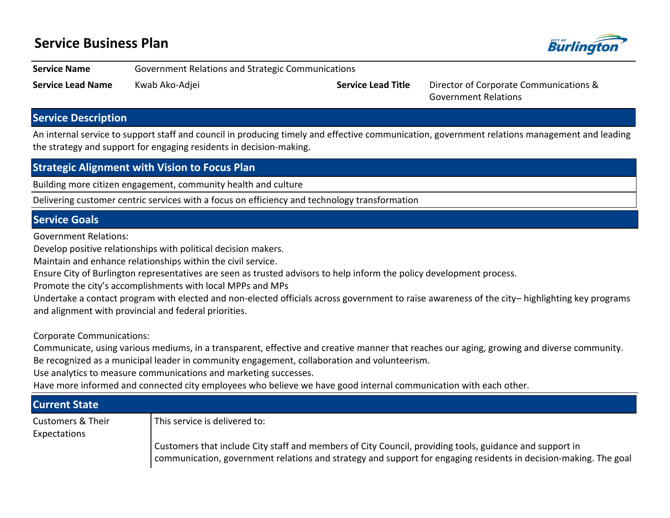# **Service Business Plan**



**Service Name** Government Relations and Strategic Communications

**Service Lead Name** Kwab Ako-Adjei **Service Lead Title** Director of Corporate Communications &

Government Relations

## **Service Description**

An internal service to support staff and council in producing timely and effective communication, government relations management and leading the strategy and support for engaging residents in decision-making.

## **Strategic Alignment with Vision to Focus Plan**

Building more citizen engagement, community health and culture

Delivering customer centric services with a focus on efficiency and technology transformation

#### **Service Goals**

Government Relations:

Develop positive relationships with political decision makers.

Maintain and enhance relationships within the civil service.

Ensure City of Burlington representatives are seen as trusted advisors to help inform the policy development process.

Promote the city's accomplishments with local MPPs and MPs

Undertake a contact program with elected and non-elected officials across government to raise awareness of the city-highlighting key programs and alignment with provincial and federal priorities.

Corporate Communications:

Communicate, using various mediums, in a transparent, effective and creative manner that reaches our aging, growing and diverse community. Be recognized as a municipal leader in community engagement, collaboration and volunteerism.

Use analytics to measure communications and marketing successes.

Have more informed and connected city employees who believe we have good internal communication with each other.

| <b>Current State</b>                         |                                                                                                                                                                                                                             |
|----------------------------------------------|-----------------------------------------------------------------------------------------------------------------------------------------------------------------------------------------------------------------------------|
| <b>Customers &amp; Their</b><br>Expectations | This service is delivered to:                                                                                                                                                                                               |
|                                              | Customers that include City staff and members of City Council, providing tools, guidance and support in<br>communication, government relations and strategy and support for engaging residents in decision-making. The goal |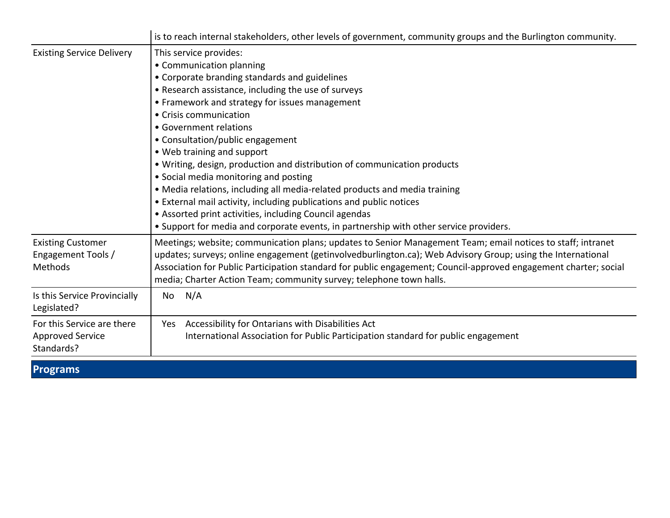|                                                                     | is to reach internal stakeholders, other levels of government, community groups and the Burlington community.                                                                                                                                                                                                                                                                                                                                                                                                                                                                                                                                                          |  |  |  |  |  |  |
|---------------------------------------------------------------------|------------------------------------------------------------------------------------------------------------------------------------------------------------------------------------------------------------------------------------------------------------------------------------------------------------------------------------------------------------------------------------------------------------------------------------------------------------------------------------------------------------------------------------------------------------------------------------------------------------------------------------------------------------------------|--|--|--|--|--|--|
| <b>Existing Service Delivery</b>                                    | This service provides:<br>• Communication planning<br>• Corporate branding standards and guidelines<br>• Research assistance, including the use of surveys<br>• Framework and strategy for issues management<br>• Crisis communication<br>• Government relations<br>• Consultation/public engagement<br>• Web training and support<br>. Writing, design, production and distribution of communication products<br>• Social media monitoring and posting<br>• Media relations, including all media-related products and media training<br>• External mail activity, including publications and public notices<br>• Assorted print activities, including Council agendas |  |  |  |  |  |  |
| <b>Existing Customer</b><br>Engagement Tools /<br>Methods           | Meetings; website; communication plans; updates to Senior Management Team; email notices to staff; intranet<br>updates; surveys; online engagement (getinvolvedburlington.ca); Web Advisory Group; using the International<br>Association for Public Participation standard for public engagement; Council-approved engagement charter; social<br>media; Charter Action Team; community survey; telephone town halls.                                                                                                                                                                                                                                                  |  |  |  |  |  |  |
| Is this Service Provincially<br>Legislated?                         | N/A<br>No                                                                                                                                                                                                                                                                                                                                                                                                                                                                                                                                                                                                                                                              |  |  |  |  |  |  |
| For this Service are there<br><b>Approved Service</b><br>Standards? | Accessibility for Ontarians with Disabilities Act<br>Yes<br>International Association for Public Participation standard for public engagement                                                                                                                                                                                                                                                                                                                                                                                                                                                                                                                          |  |  |  |  |  |  |

## **Programs**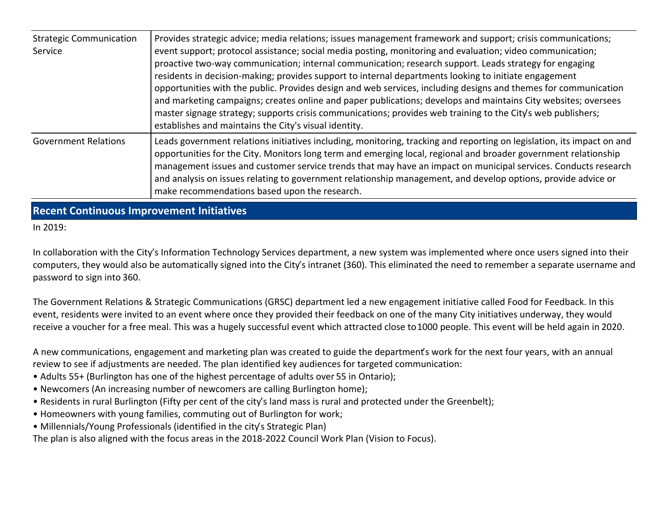| <b>Strategic Communication</b><br>Service | Provides strategic advice; media relations; issues management framework and support; crisis communications;<br>event support; protocol assistance; social media posting, monitoring and evaluation; video communication;<br>proactive two-way communication; internal communication; research support. Leads strategy for engaging<br>residents in decision-making; provides support to internal departments looking to initiate engagement<br>opportunities with the public. Provides design and web services, including designs and themes for communication<br>and marketing campaigns; creates online and paper publications; develops and maintains City websites; oversees<br>master signage strategy; supports crisis communications; provides web training to the City's web publishers;<br>establishes and maintains the City's visual identity. |
|-------------------------------------------|-----------------------------------------------------------------------------------------------------------------------------------------------------------------------------------------------------------------------------------------------------------------------------------------------------------------------------------------------------------------------------------------------------------------------------------------------------------------------------------------------------------------------------------------------------------------------------------------------------------------------------------------------------------------------------------------------------------------------------------------------------------------------------------------------------------------------------------------------------------|
| <b>Government Relations</b>               | Leads government relations initiatives including, monitoring, tracking and reporting on legislation, its impact on and<br>opportunities for the City. Monitors long term and emerging local, regional and broader government relationship<br>management issues and customer service trends that may have an impact on municipal services. Conducts research<br>and analysis on issues relating to government relationship management, and develop options, provide advice or<br>make recommendations based upon the research.                                                                                                                                                                                                                                                                                                                             |

**Recent Continuous Improvement Initiatives**

In 2019:

In collaboration with the City's Information Technology Services department, a new system was implemented where once users signed into their computers, they would also be automatically signed into the City's intranet (360). This eliminated the need to remember a separate username and password to sign into 360.

The Government Relations & Strategic Communications (GRSC) department led a new engagement initiative called Food for Feedback. In this event, residents were invited to an event where once they provided their feedback on one of the many City initiatives underway, they would receive a voucher for a free meal. This was a hugely successful event which attracted close to 1000 people. This event will be held again in 2020.

A new communications, engagement and marketing plan was created to guide the department's work for the next four years, with an annual review to see if adjustments are needed. The plan identified key audiences for targeted communication:

- Adults 55+ (Burlington has one of the highest percentage of adults over 55 in Ontario);
- Newcomers (An increasing number of newcomers are calling Burlington home);
- Residents in rural Burlington (Fifty per cent of the city's land mass is rural and protected under the Greenbelt);
- Homeowners with young families, commuting out of Burlington for work;
- Millennials/Young Professionals (identified in the city's Strategic Plan)

The plan is also aligned with the focus areas in the 2018-2022 Council Work Plan (Vision to Focus).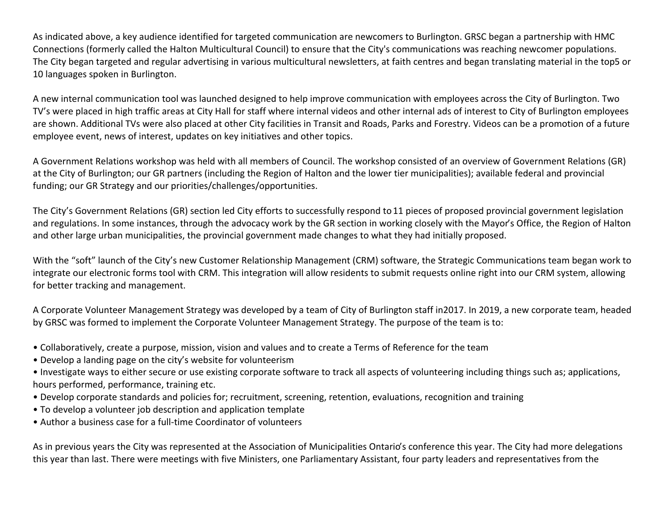As indicated above, a key audience identified for targeted communication are newcomers to Burlington. GRSC began a partnership with HMC Connections (formerly called the Halton Multicultural Council) to ensure that the City's communications was reaching newcomer populations. The City began targeted and regular advertising in various multicultural newsletters, at faith centres and began translating material in the top5 or 10 languages spoken in Burlington.

A new internal communication tool was launched designed to help improve communication with employees across the City of Burlington. Two TV's were placed in high traffic areas at City Hall for staff where internal videos and other internal ads of interest to City of Burlington employees are shown. Additional TVs were also placed at other City facilities in Transit and Roads, Parks and Forestry. Videos can be a promotion of a future employee event, news of interest, updates on key initiatives and other topics.

A Government Relations workshop was held with all members of Council. The workshop consisted of an overview of Government Relations (GR) at the City of Burlington; our GR partners (including the Region of Halton and the lower tier municipalities); available federal and provincial funding; our GR Strategy and our priorities/challenges/opportunities.

The City's Government Relations (GR) section led City efforts to successfully respond to 11 pieces of proposed provincial government legislation and regulations. In some instances, through the advocacy work by the GR section in working closely with the Mayor's Office, the Region of Halton and other large urban municipalities, the provincial government made changes to what they had initially proposed.

With the "soft" launch of the City's new Customer Relationship Management (CRM) software, the Strategic Communications team began work to integrate our electronic forms tool with CRM. This integration will allow residents to submit requests online right into our CRM system, allowing for better tracking and management.

A Corporate Volunteer Management Strategy was developed by a team of City of Burlington staff in 2017. In 2019, a new corporate team, headed by GRSC was formed to implement the Corporate Volunteer Management Strategy. The purpose of the team is to:

- Collaboratively, create a purpose, mission, vision and values and to create a Terms of Reference for the team
- Develop a landing page on the city's website for volunteerism
- Investigate ways to either secure or use existing corporate software to track all aspects of volunteering including things such as; applications, hours performed, performance, training etc.
- Develop corporate standards and policies for; recruitment, screening, retention, evaluations, recognition and training
- To develop a volunteer job description and application template
- Author a business case for a full-time Coordinator of volunteers

As in previous years the City was represented at the Association of Municipalities Ontario's conference this year. The City had more delegations this year than last. There were meetings with five Ministers, one Parliamentary Assistant, four party leaders and representatives from the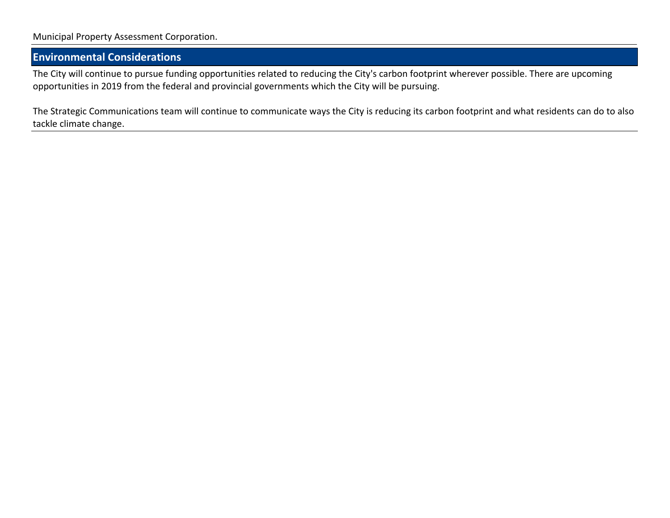### **Environmental Considerations**

The City will continue to pursue funding opportunities related to reducing the City's carbon footprint wherever possible. There are upcoming opportunities in 2019 from the federal and provincial governments which the City will be pursuing.

The Strategic Communications team will continue to communicate ways the City is reducing its carbon footprint and what residents can do to also tackle climate change.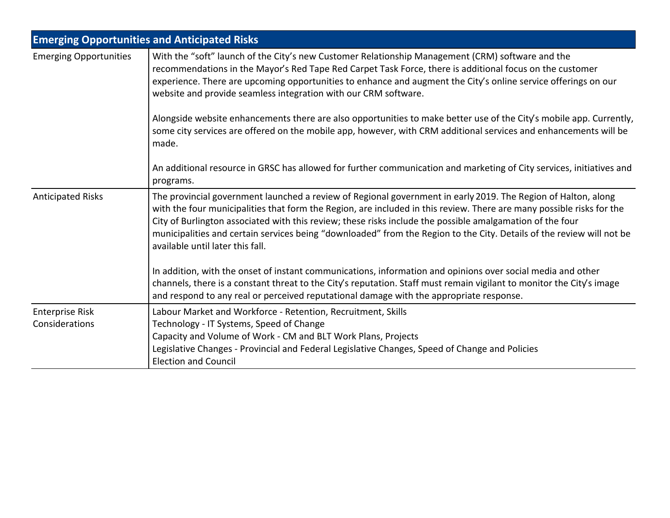|                                          | <b>Emerging Opportunities and Anticipated Risks</b>                                                                                                                                                                                                                                                                                                                                                                                                                                                              |  |  |  |  |  |
|------------------------------------------|------------------------------------------------------------------------------------------------------------------------------------------------------------------------------------------------------------------------------------------------------------------------------------------------------------------------------------------------------------------------------------------------------------------------------------------------------------------------------------------------------------------|--|--|--|--|--|
| <b>Emerging Opportunities</b>            | With the "soft" launch of the City's new Customer Relationship Management (CRM) software and the<br>recommendations in the Mayor's Red Tape Red Carpet Task Force, there is additional focus on the customer<br>experience. There are upcoming opportunities to enhance and augment the City's online service offerings on our<br>website and provide seamless integration with our CRM software.                                                                                                                |  |  |  |  |  |
|                                          | Alongside website enhancements there are also opportunities to make better use of the City's mobile app. Currently,<br>some city services are offered on the mobile app, however, with CRM additional services and enhancements will be<br>made.                                                                                                                                                                                                                                                                 |  |  |  |  |  |
|                                          | An additional resource in GRSC has allowed for further communication and marketing of City services, initiatives and<br>programs.                                                                                                                                                                                                                                                                                                                                                                                |  |  |  |  |  |
| <b>Anticipated Risks</b>                 | The provincial government launched a review of Regional government in early 2019. The Region of Halton, along<br>with the four municipalities that form the Region, are included in this review. There are many possible risks for the<br>City of Burlington associated with this review; these risks include the possible amalgamation of the four<br>municipalities and certain services being "downloaded" from the Region to the City. Details of the review will not be<br>available until later this fall. |  |  |  |  |  |
|                                          | In addition, with the onset of instant communications, information and opinions over social media and other<br>channels, there is a constant threat to the City's reputation. Staff must remain vigilant to monitor the City's image<br>and respond to any real or perceived reputational damage with the appropriate response.                                                                                                                                                                                  |  |  |  |  |  |
| <b>Enterprise Risk</b><br>Considerations | Labour Market and Workforce - Retention, Recruitment, Skills<br>Technology - IT Systems, Speed of Change<br>Capacity and Volume of Work - CM and BLT Work Plans, Projects<br>Legislative Changes - Provincial and Federal Legislative Changes, Speed of Change and Policies<br><b>Election and Council</b>                                                                                                                                                                                                       |  |  |  |  |  |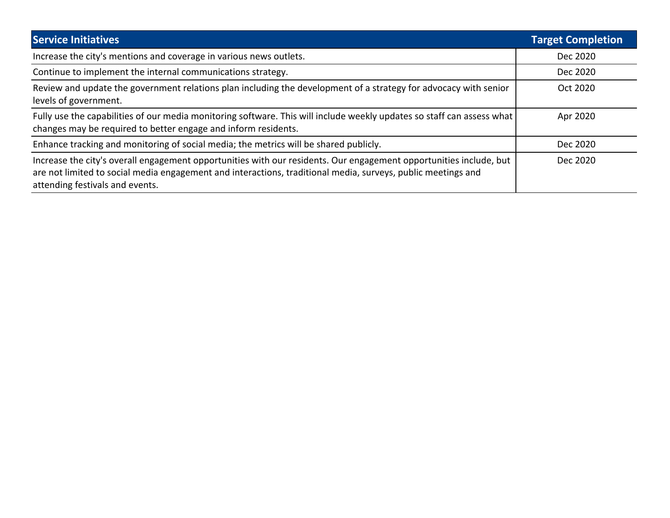| <b>Service Initiatives</b>                                                                                                                                                                                                                                            | <b>Target Completion</b> |
|-----------------------------------------------------------------------------------------------------------------------------------------------------------------------------------------------------------------------------------------------------------------------|--------------------------|
| Increase the city's mentions and coverage in various news outlets.                                                                                                                                                                                                    | Dec 2020                 |
| Continue to implement the internal communications strategy.                                                                                                                                                                                                           | Dec 2020                 |
| Review and update the government relations plan including the development of a strategy for advocacy with senior<br>levels of government.                                                                                                                             | Oct 2020                 |
| Fully use the capabilities of our media monitoring software. This will include weekly updates so staff can assess what<br>changes may be required to better engage and inform residents.                                                                              | Apr 2020                 |
| Enhance tracking and monitoring of social media; the metrics will be shared publicly.                                                                                                                                                                                 | Dec 2020                 |
| Increase the city's overall engagement opportunities with our residents. Our engagement opportunities include, but<br>are not limited to social media engagement and interactions, traditional media, surveys, public meetings and<br>attending festivals and events. | Dec 2020                 |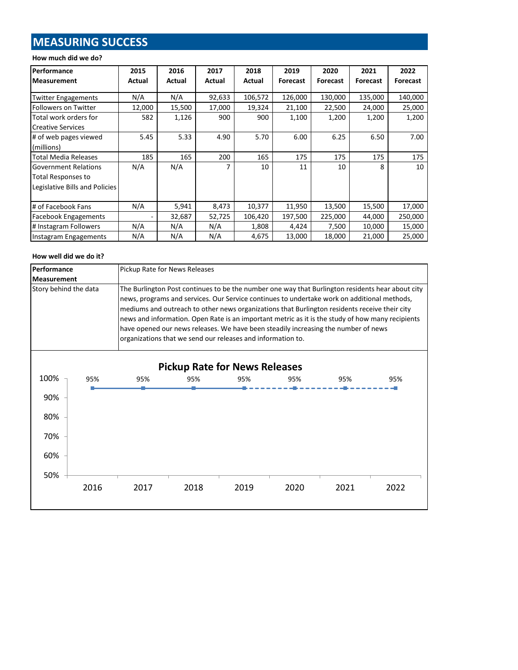# **MEASURING SUCCESS**

#### **How much did we do?**

| Performance                    | 2015   | 2016   | 2017          | 2018    | 2019     | 2020            | 2021            | 2022            |
|--------------------------------|--------|--------|---------------|---------|----------|-----------------|-----------------|-----------------|
| <b>Measurement</b>             | Actual | Actual | <b>Actual</b> | Actual  | Forecast | <b>Forecast</b> | <b>Forecast</b> | <b>Forecast</b> |
|                                |        |        |               |         |          |                 |                 |                 |
| <b>Twitter Engagements</b>     | N/A    | N/A    | 92,633        | 106,572 | 126,000  | 130,000         | 135,000         | 140,000         |
| Followers on Twitter           | 12,000 | 15,500 | 17,000        | 19,324  | 21,100   | 22,500          | 24,000          | 25,000          |
| Total work orders for          | 582    | 1,126  | 900           | 900     | 1,100    | 1,200           | 1,200           | 1,200           |
| <b>Creative Services</b>       |        |        |               |         |          |                 |                 |                 |
| # of web pages viewed          | 5.45   | 5.33   | 4.90          | 5.70    | 6.00     | 6.25            | 6.50            | 7.00            |
| (millions)                     |        |        |               |         |          |                 |                 |                 |
| <b>Total Media Releases</b>    | 185    | 165    | 200           | 165     | 175      | 175             | 175             | 175             |
| <b>Government Relations</b>    | N/A    | N/A    | 7             | 10      | 11       | 10              | 8               | 10              |
| Total Responses to             |        |        |               |         |          |                 |                 |                 |
| Legislative Bills and Policies |        |        |               |         |          |                 |                 |                 |
|                                |        |        |               |         |          |                 |                 |                 |
| # of Facebook Fans             | N/A    | 5,941  | 8,473         | 10,377  | 11,950   | 13,500          | 15,500          | 17,000          |
| <b>Facebook Engagements</b>    |        | 32,687 | 52,725        | 106,420 | 197,500  | 225,000         | 44,000          | 250,000         |
| # Instagram Followers          | N/A    | N/A    | N/A           | 1,808   | 4,424    | 7,500           | 10,000          | 15,000          |
| Instagram Engagements          | N/A    | N/A    | N/A           | 4,675   | 13,000   | 18,000          | 21,000          | 25,000          |

#### **How well did we do it?**

| <b>Performance</b><br>Pickup Rate for News Releases |     |                                                                                                                                                                                                                                                                                                                                                                                                                                                                                                                                                           |     |                                      |     |     |     |
|-----------------------------------------------------|-----|-----------------------------------------------------------------------------------------------------------------------------------------------------------------------------------------------------------------------------------------------------------------------------------------------------------------------------------------------------------------------------------------------------------------------------------------------------------------------------------------------------------------------------------------------------------|-----|--------------------------------------|-----|-----|-----|
| <b>Measurement</b>                                  |     |                                                                                                                                                                                                                                                                                                                                                                                                                                                                                                                                                           |     |                                      |     |     |     |
| Story behind the data                               |     | The Burlington Post continues to be the number one way that Burlington residents hear about city<br>news, programs and services. Our Service continues to undertake work on additional methods,<br>mediums and outreach to other news organizations that Burlington residents receive their city<br>news and information. Open Rate is an important metric as it is the study of how many recipients<br>have opened our news releases. We have been steadily increasing the number of news<br>organizations that we send our releases and information to. |     |                                      |     |     |     |
|                                                     |     |                                                                                                                                                                                                                                                                                                                                                                                                                                                                                                                                                           |     | <b>Pickup Rate for News Releases</b> |     |     |     |
| 100%                                                | 95% | 95%                                                                                                                                                                                                                                                                                                                                                                                                                                                                                                                                                       | 95% | 95%                                  | 95% | 95% | 95% |
| 00 <sup>2</sup>                                     |     |                                                                                                                                                                                                                                                                                                                                                                                                                                                                                                                                                           |     |                                      |     |     |     |